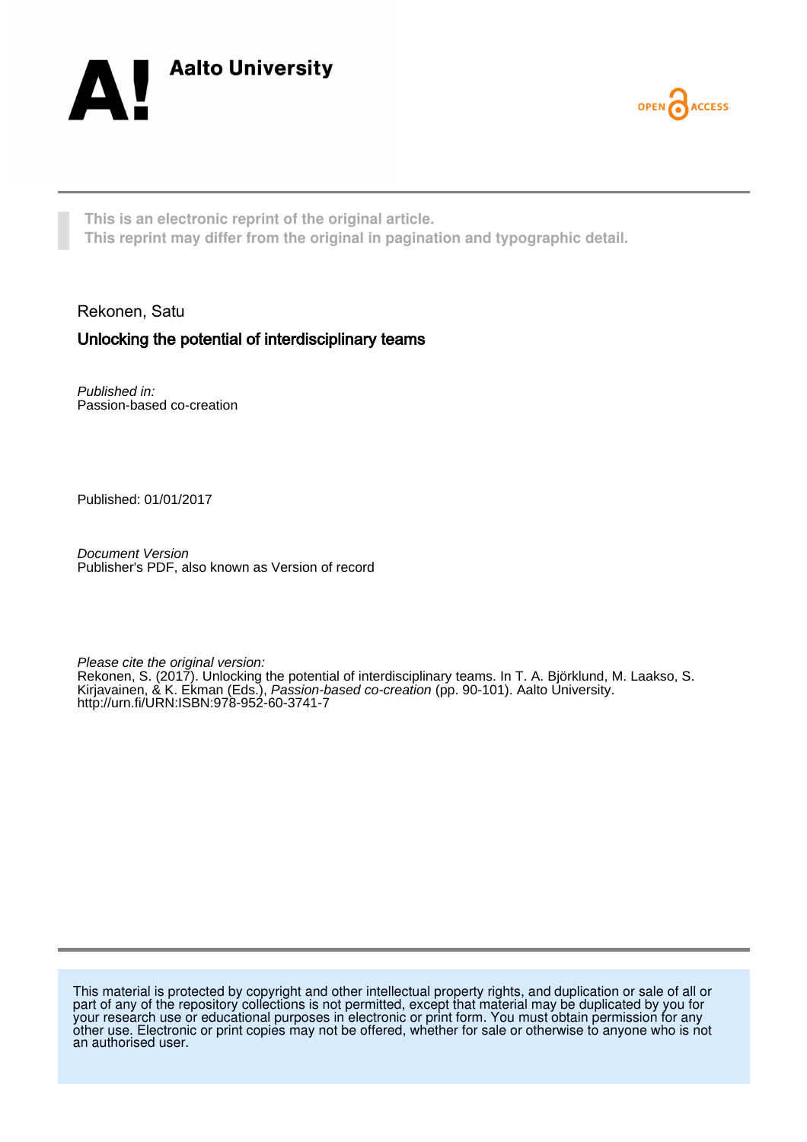



**This is an electronic reprint of the original article. This reprint may differ from the original in pagination and typographic detail.**

Rekonen, Satu

# Unlocking the potential of interdisciplinary teams

Published in: Passion-based co-creation

Published: 01/01/2017

Document Version Publisher's PDF, also known as Version of record

Please cite the original version:

Rekonen, S. (2017). Unlocking the potential of interdisciplinary teams. In T. A. Björklund, M. Laakso, S. Kirjavainen, & K. Ekman (Eds.), *Passion-based co-creation* (pp. 90-101). Aalto University. <http://urn.fi/URN:ISBN:978-952-60-3741-7>

This material is protected by copyright and other intellectual property rights, and duplication or sale of all or part of any of the repository collections is not permitted, except that material may be duplicated by you for your research use or educational purposes in electronic or print form. You must obtain permission for any other use. Electronic or print copies may not be offered, whether for sale or otherwise to anyone who is not an authorised user.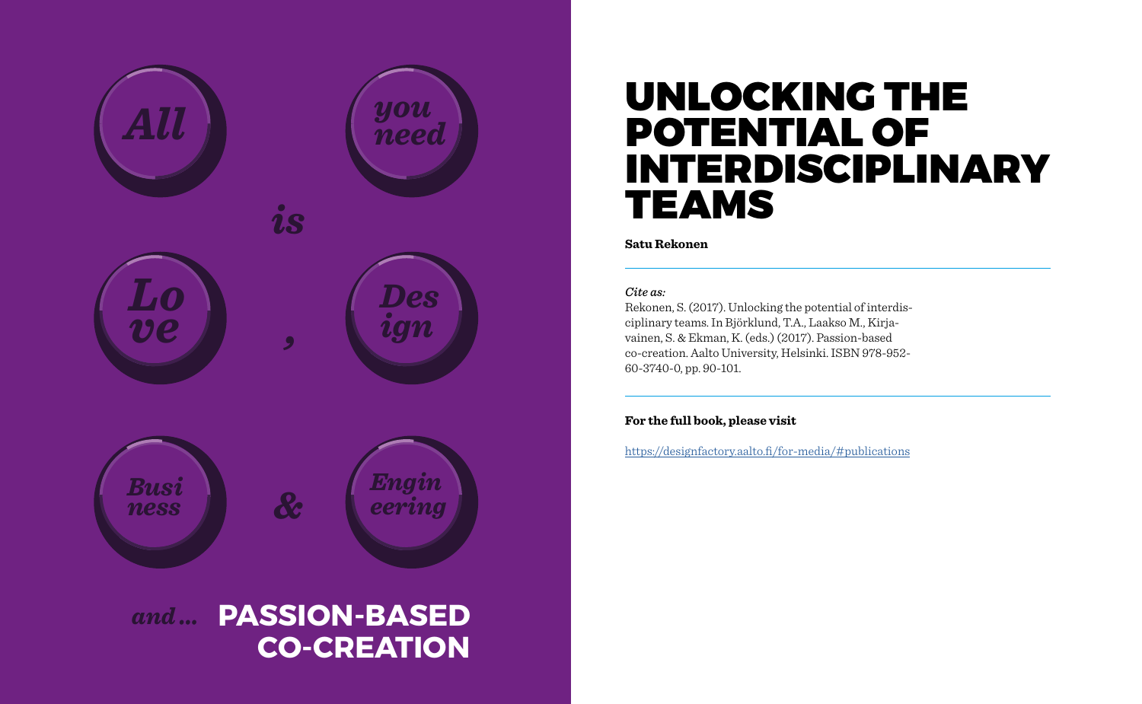

# UNLOCKING THE POTENTIAL OF INTERDISCIPLINARY TEAMS

### **Satu Rekonen**

#### *Cite as:*

Rekonen, S. (2017). Unlocking the potential of interdisciplinary teams. In Björklund, T.A., Laakso M., Kirjavainen, S. & Ekman, K. (eds.) (2017). Passion-based co-creation. Aalto University, Helsinki. ISBN 978-952- 60-3740-0, pp. 90-101.

# **For the full book, please visit**

<https://designfactory.aalto.fi/for-media/#publications>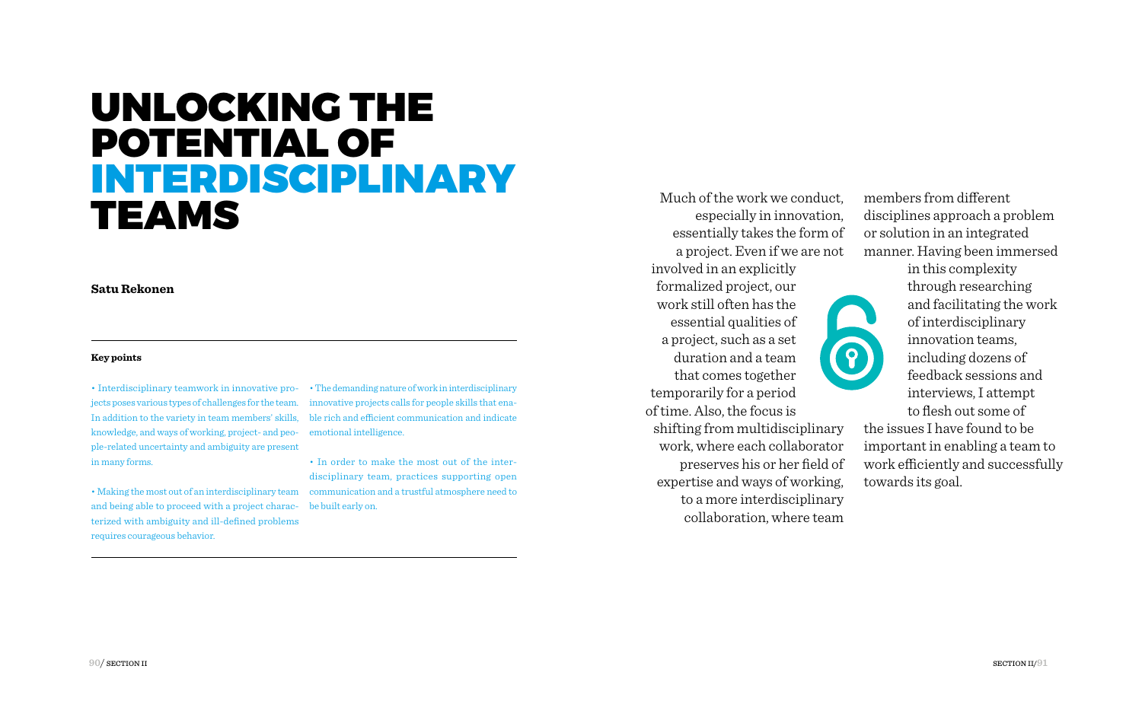# UNLOCKING THE POTENTIAL OF INTERDISCIPLINARY TEAMS

**Satu Rekonen**

#### **Key points**

In addition to the variety in team members' skills, knowledge, and ways of working, project- and people-related uncertainty and ambiguity are present in many forms.

• Making the most out of an interdisciplinary team communication and a trustful atmosphere need to and being able to proceed with a project charac-be built early on. terized with ambiguity and ill-defined problems requires courageous behavior.

• Interdisciplinary teamwork in innovative pro- • The demanding nature of work in interdisciplinary jects poses various types of challenges for the team. innovative projects calls for people skills that enable rich and efficient communication and indicate emotional intelligence.

> • In order to make the most out of the interdisciplinary team, practices supporting open

Much of the work we conduct, especially in innovation, essentially takes the form of a project. Even if we are not

involved in an explicitly formalized project, our work still often has the essential qualities of a project, such as a set duration and a team that comes together temporarily for a period of time. Also, the focus is shifting from multidisciplinary work, where each collaborator preserves his or her field of expertise and ways of working, to a more interdisciplinary collaboration, where team

members from different disciplines approach a problem or solution in an integrated manner. Having been immersed

in this complexity

through researching and facilitating the work of interdisciplinary innovation teams, including dozens of feedback sessions and interviews, I attempt to flesh out some of

the issues I have found to be important in enabling a team to work efficiently and successfully towards its goal.

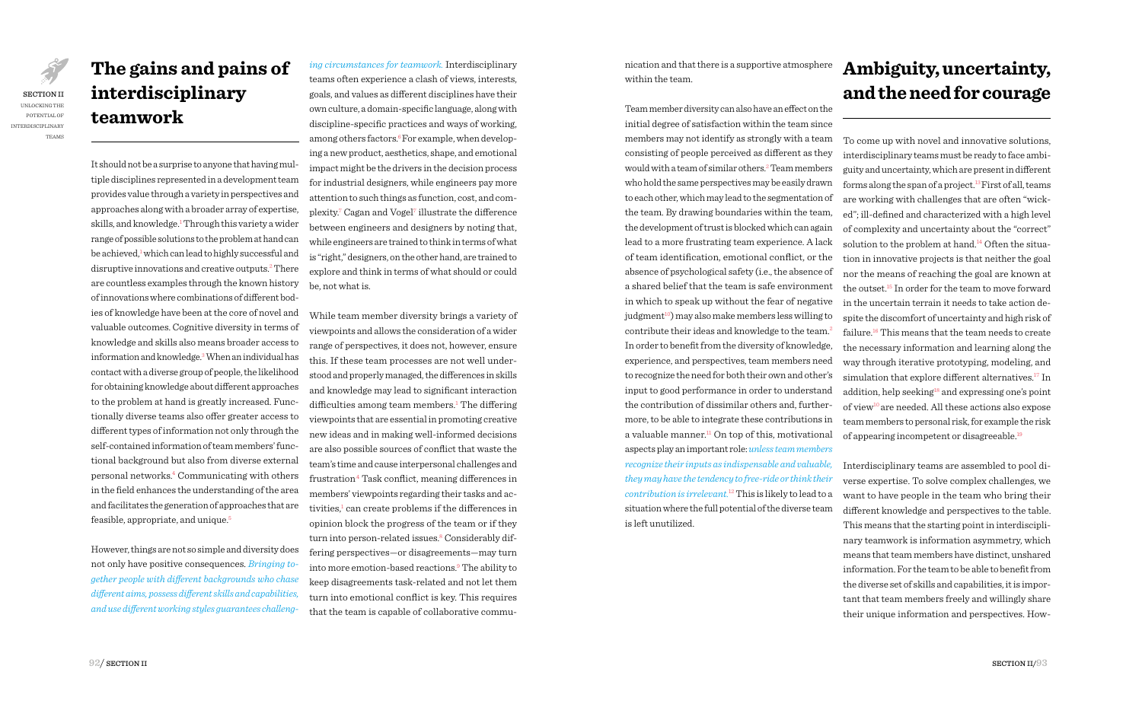JAR SECTION II UNLOCKING THE POTENTIAL OF INTERDISCIPLINARY TEAMS

# **The gains and pains of interdisciplinary teamwork**

It should not be a surprise to anyone that having multiple disciplines represented in a development team provides value through a variety in perspectives and approaches along with a broader array of expertise, skills, and knowledge.<sup>1</sup> Through this variety a wider range of possible solutions to the problem at hand can be achieved,<sup>1</sup> which can lead to highly successful and disruptive innovations and creative outputs.<sup>2</sup> There are countless examples through the known history of innovations where combinations of different bodies of knowledge have been at the core of novel and valuable outcomes. Cognitive diversity in terms of knowledge and skills also means broader access to information and knowledge.<sup>3</sup> When an individual has contact with a diverse group of people, the likelihood for obtaining knowledge about different approaches to the problem at hand is greatly increased. Functionally diverse teams also offer greater access to different types of information not only through the self-contained information of team members' functional background but also from diverse external personal networks.4 Communicating with others in the field enhances the understanding of the area and facilitates the generation of approaches that are feasible, appropriate, and unique.5

However, things are not so simple and diversity does not only have positive consequences. *Bringing together people with different backgrounds who chase different aims, possess different skills and capabilities, and use different working styles guarantees challeng-*

*ing circumstances for teamwork.* Interdisciplinary teams often experience a clash of views, interests, goals, and values as different disciplines have their own culture, a domain-specific language, along with discipline-specific practices and ways of working, among others factors. $6$  For example, when developing a new product, aesthetics, shape, and emotional impact might be the drivers in the decision process for industrial designers, while engineers pay more attention to such things as function, cost, and complexity.<sup>7</sup> Cagan and Vogel<sup>7</sup> illustrate the difference between engineers and designers by noting that, while engineers are trained to think in terms of what is "right," designers, on the other hand, are trained to explore and think in terms of what should or could be, not what is.

While team member diversity brings a variety of viewpoints and allows the consideration of a wider range of perspectives, it does not, however, ensure this. If these team processes are not well understood and properly managed, the differences in skills and knowledge may lead to significant interaction difficulties among team members.<sup>1</sup> The differing viewpoints that are essential in promoting creative new ideas and in making well-informed decisions are also possible sources of conflict that waste the team's time and cause interpersonal challenges and frustration.4 Task conflict, meaning differences in members' viewpoints regarding their tasks and activities,<sup>1</sup> can create problems if the differences in opinion block the progress of the team or if they turn into person-related issues.<sup>8</sup> Considerably differing perspectives—or disagreements—may turn into more emotion-based reactions.9 The ability to keep disagreements task-related and not let them turn into emotional conflict is key. This requires that the team is capable of collaborative communication and that there is a supportive atmosphere within the team.

Team member diversity can also have an effect on the initial degree of satisfaction within the team since members may not identify as strongly with a team consisting of people perceived as different as they would with a team of similar others.2 Team members who hold the same perspectives may be easily drawn to each other, which may lead to the segmentation of the team. By drawing boundaries within the team, the development of trust is blocked which can again lead to a more frustrating team experience. A lack of team identification, emotional conflict, or the absence of psychological safety (i.e., the absence of a shared belief that the team is safe environment in which to speak up without the fear of negative  $judgment<sup>10</sup>)$  may also make members less willing to contribute their ideas and knowledge to the team.2 In order to benefit from the diversity of knowledge, experience, and perspectives, team members need to recognize the need for both their own and other's input to good performance in order to understand the contribution of dissimilar others and, furthermore, to be able to integrate these contributions in a valuable manner. $11$  On top of this, motivational aspects play an important role: *unless team members recognize their inputs as indispensable and valuable, they may have the tendency to free-ride or think their contribution is irrelevant.*12 This is likely to lead to a situation where the full potential of the diverse team is left unutilized.

# **Ambiguity, uncertainty, and the need for courage**

To come up with novel and innovative solutions, interdisciplinary teams must be ready to face ambiguity and uncertainty, which are present in different forms along the span of a project.<sup>13</sup> First of all, teams are working with challenges that are often "wicked"; ill-defined and characterized with a high level of complexity and uncertainty about the "correct" solution to the problem at hand.<sup>14</sup> Often the situation in innovative projects is that neither the goal nor the means of reaching the goal are known at the outset.15 In order for the team to move forward in the uncertain terrain it needs to take action despite the discomfort of uncertainty and high risk of failure.16 This means that the team needs to create the necessary information and learning along the way through iterative prototyping, modeling, and simulation that explore different alternatives.<sup>17</sup> In addition, help seeking<sup>18</sup> and expressing one's point of view<sup>10</sup> are needed. All these actions also expose team members to personal risk, for example the risk of appearing incompetent or disagreeable.<sup>19</sup>

Interdisciplinary teams are assembled to pool diverse expertise. To solve complex challenges, we want to have people in the team who bring their different knowledge and perspectives to the table. This means that the starting point in interdisciplinary teamwork is information asymmetry, which means that team members have distinct, unshared information. For the team to be able to benefit from the diverse set of skills and capabilities, it is important that team members freely and willingly share their unique information and perspectives. How-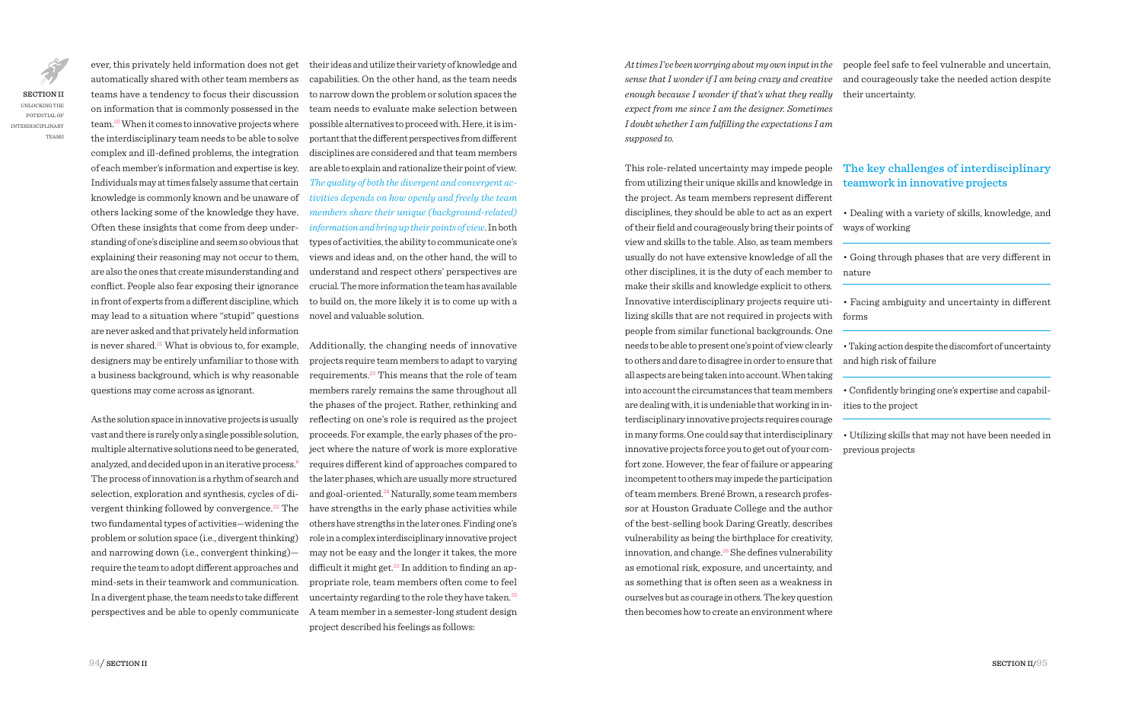SECTION II UNLOCKING THE POTENTIAL OF INTERDISCIPLINARY TEAMS

automatically shared with other team members as teams have a tendency to focus their discussion team.20 When it comes to innovative projects where the interdisciplinary team needs to be able to solve complex and ill-defined problems, the integration of each member's information and expertise is key. Individuals may at times falsely assume that certain knowledge is commonly known and be unaware of others lacking some of the knowledge they have. Often these insights that come from deep understanding of one's discipline and seem so obvious that explaining their reasoning may not occur to them, are also the ones that create misunderstanding and conflict. People also fear exposing their ignorance in front of experts from a different discipline, which may lead to a situation where "stupid" questions novel and valuable solution. are never asked and that privately held information designers may be entirely unfamiliar to those with a business background, which is why reasonable questions may come across as ignorant.

As the solution space in innovative projects is usually vast and there is rarely only a single possible solution, multiple alternative solutions need to be generated, analyzed, and decided upon in an iterative process.6 The process of innovation is a rhythm of search and selection, exploration and synthesis, cycles of divergent thinking followed by convergence.<sup>22</sup> The two fundamental types of activities—widening the problem or solution space (i.e., divergent thinking) and narrowing down (i.e., convergent thinking) require the team to adopt different approaches and mind-sets in their teamwork and communication. In a divergent phase, the team needs to take different

ever, this privately held information does not get on information that is commonly possessed in the team needs to evaluate make selection between their ideas and utilize their variety of knowledge and capabilities. On the other hand, as the team needs to narrow down the problem or solution spaces the possible alternatives to proceed with. Here, it is important that the different perspectives from different disciplines are considered and that team members are able to explain and rationalize their point of view. *The quality of both the divergent and convergent activities depends on how openly and freely the team members share their unique (background-related) information and bring up their points of view*. In both types of activities, the ability to communicate one's views and ideas and, on the other hand, the will to understand and respect others' perspectives are crucial. The more information the team has available to build on, the more likely it is to come up with a

is never shared.<sup>21</sup> What is obvious to, for example, Additionally, the changing needs of innovative perspectives and be able to openly communicate A team member in a semester-long student design projects require team members to adapt to varying requirements.23 This means that the role of team members rarely remains the same throughout all the phases of the project. Rather, rethinking and reflecting on one's role is required as the project proceeds. For example, the early phases of the project where the nature of work is more explorative requires different kind of approaches compared to the later phases, which are usually more structured and goal-oriented.<sup>24</sup> Naturally, some team members have strengths in the early phase activities while others have strengths in the later ones. Finding one's role in a complex interdisciplinary innovative project may not be easy and the longer it takes, the more difficult it might get. $^{23}$  In addition to finding an appropriate role, team members often come to feel uncertainty regarding to the role they have taken.<sup>25</sup> project described his feelings as follows:

*sense that I wonder if I am being crazy and creative*  and courageously take the needed action despite *enough because I wonder if that's what they really expect from me since I am the designer. Sometimes I doubt whether I am fulfilling the expectations I am supposed to.*

This role-related uncertainty may impede people from utilizing their unique skills and knowledge in the project. As team members represent different disciplines, they should be able to act as an expert • Dealing with a variety of skills, knowledge, and of their field and courageously bring their points of view and skills to the table. Also, as team members usually do not have extensive knowledge of all the other disciplines, it is the duty of each member to make their skills and knowledge explicit to others*.* Innovative interdisciplinary projects require utilizing skills that are not required in projects with people from similar functional backgrounds. One needs to be able to present one's point of view clearly to others and dare to disagree in order to ensure that all aspects are being taken into account. When taking into account the circumstances that team members are dealing with, it is undeniable that working in interdisciplinary innovative projects requires courage in many forms. One could say that interdisciplinary innovative projects force you to get out of your comfort zone. However, the fear of failure or appearing incompetent to others may impede the participation of team members. Brené Brown, a research professor at Houston Graduate College and the author of the best-selling book Daring Greatly, describes vulnerability as being the birthplace for creativity, innovation, and change.<sup>26</sup> She defines vulnerability as emotional risk, exposure, and uncertainty, and as something that is often seen as a weakness in ourselves but as courage in others. The key question then becomes how to create an environment where

*At times I've been worrying about my own input in the*  people feel safe to feel vulnerable and uncertain, their uncertainty.

# The key challenges of interdisciplinary teamwork in innovative projects

ways of working

• Going through phases that are very different in nature

• Facing ambiguity and uncertainty in different forms

• Taking action despite the discomfort of uncertainty and high risk of failure

• Confidently bringing one's expertise and capabilities to the project

• Utilizing skills that may not have been needed in previous projects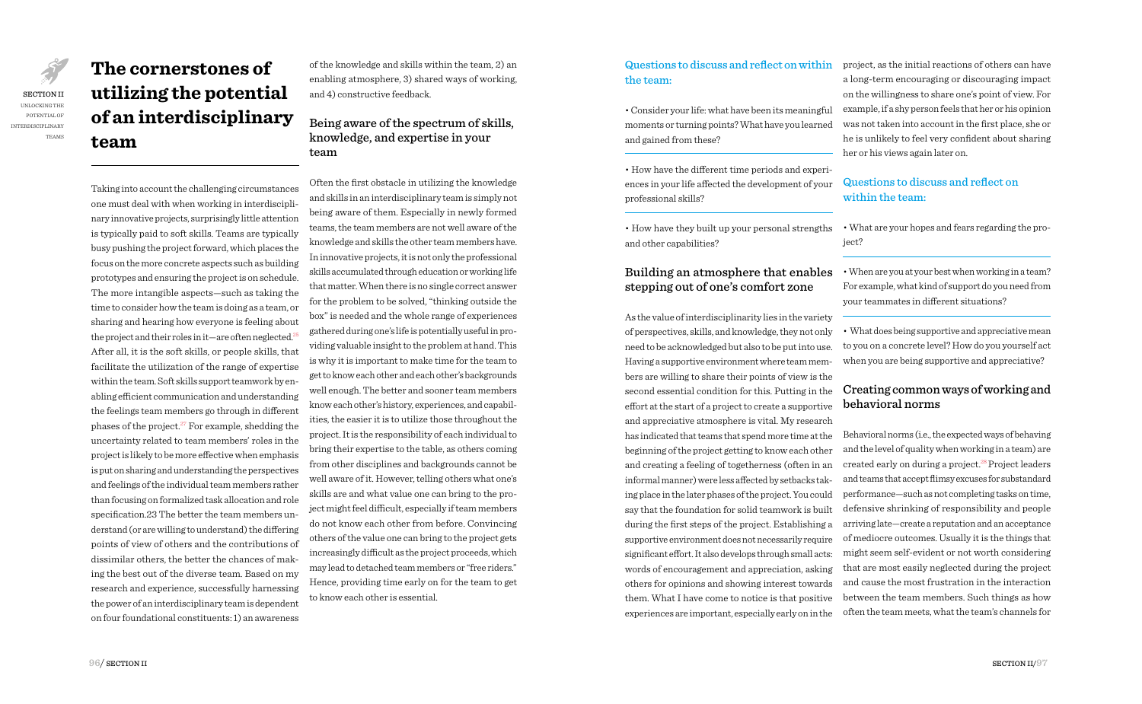**The cornerstones of utilizing the potential of an interdisciplinary team**

Taking into account the challenging circumstances one must deal with when working in interdisciplinary innovative projects, surprisingly little attention is typically paid to soft skills. Teams are typically busy pushing the project forward, which places the focus on the more concrete aspects such as building prototypes and ensuring the project is on schedule. The more intangible aspects—such as taking the time to consider how the team is doing as a team, or sharing and hearing how everyone is feeling about the project and their roles in it—are often neglected.<sup>2</sup> After all, it is the soft skills, or people skills, that facilitate the utilization of the range of expertise within the team. Soft skills support teamwork by enabling efficient communication and understanding the feelings team members go through in different phases of the project.<sup>27</sup> For example, shedding the uncertainty related to team members' roles in the project is likely to be more effective when emphasis is put on sharing and understanding the perspectives and feelings of the individual team members rather than focusing on formalized task allocation and role specification.23 The better the team members understand (or are willing to understand) the differing points of view of others and the contributions of dissimilar others, the better the chances of making the best out of the diverse team. Based on my research and experience, successfully harnessing the power of an interdisciplinary team is dependent on four foundational constituents: 1) an awareness

of the knowledge and skills within the team, 2) an enabling atmosphere, 3) shared ways of working, and 4) constructive feedback.

# Being aware of the spectrum of skills, knowledge, and expertise in your team

Often the first obstacle in utilizing the knowledge and skills in an interdisciplinary team is simply not being aware of them. Especially in newly formed teams, the team members are not well aware of the knowledge and skills the other team members have. In innovative projects, it is not only the professional skills accumulated through education or working life that matter. When there is no single correct answer for the problem to be solved, "thinking outside the box" is needed and the whole range of experiences gathered during one's life is potentially useful in providing valuable insight to the problem at hand. This is why it is important to make time for the team to get to know each other and each other's backgrounds well enough. The better and sooner team members know each other's history, experiences, and capabilities, the easier it is to utilize those throughout the project. It is the responsibility of each individual to bring their expertise to the table, as others coming from other disciplines and backgrounds cannot be well aware of it. However, telling others what one's skills are and what value one can bring to the project might feel difficult, especially if team members do not know each other from before. Convincing others of the value one can bring to the project gets increasingly difficult as the project proceeds, which may lead to detached team members or "free riders." Hence, providing time early on for the team to get to know each other is essential.

## Questions to discuss and reflect on within the team:

• Consider your life: what have been its meaningful moments or turning points? What have you learned and gained from these?

• How have the different time periods and experiences in your life affected the development of your professional skills?

• How have they built up your personal strengths and other capabilities?

# Building an atmosphere that enables stepping out of one's comfort zone

As the value of interdisciplinarity lies in the variety of perspectives, skills, and knowledge, they not only need to be acknowledged but also to be put into use. Having a supportive environment where team members are willing to share their points of view is the second essential condition for this. Putting in the effort at the start of a project to create a supportive and appreciative atmosphere is vital. My research has indicated that teams that spend more time at the beginning of the project getting to know each other and creating a feeling of togetherness (often in an informal manner) were less affected by setbacks taking place in the later phases of the project. You could say that the foundation for solid teamwork is built during the first steps of the project. Establishing a supportive environment does not necessarily require significant effort. It also develops through small acts: words of encouragement and appreciation, asking others for opinions and showing interest towards them. What I have come to notice is that positive experiences are important, especially early on in the

project, as the initial reactions of others can have a long-term encouraging or discouraging impact on the willingness to share one's point of view. For example, if a shy person feels that her or his opinion was not taken into account in the first place, she or he is unlikely to feel very confident about sharing her or his views again later on.

# Questions to discuss and reflect on within the team:

• What are your hopes and fears regarding the project?

• When are you at your best when working in a team? For example, what kind of support do you need from your teammates in different situations?

• What does being supportive and appreciative mean to you on a concrete level? How do you yourself act when you are being supportive and appreciative?

# Creating common ways of working and behavioral norms

Behavioral norms (i.e., the expected ways of behaving and the level of quality when working in a team) are created early on during a project.<sup>28</sup> Project leaders and teams that accept flimsy excuses for substandard performance—such as not completing tasks on time, defensive shrinking of responsibility and people arriving late—create a reputation and an acceptance of mediocre outcomes. Usually it is the things that might seem self-evident or not worth considering that are most easily neglected during the project and cause the most frustration in the interaction between the team members. Such things as how often the team meets, what the team's channels for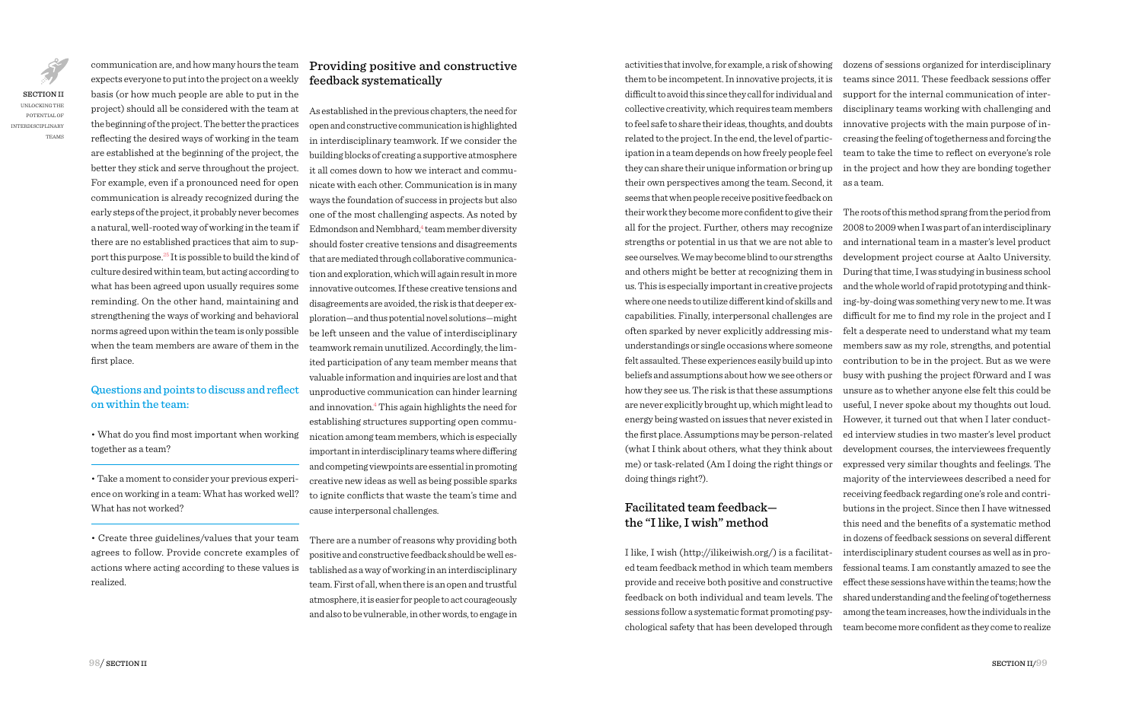expects everyone to put into the project on a weekly basis (or how much people are able to put in the project) should all be considered with the team at the beginning of the project. The better the practices reflecting the desired ways of working in the team are established at the beginning of the project, the better they stick and serve throughout the project. For example, even if a pronounced need for open communication is already recognized during the early steps of the project, it probably never becomes a natural, well-rooted way of working in the team if there are no established practices that aim to support this purpose.25 It is possible to build the kind of culture desired within team, but acting according to what has been agreed upon usually requires some reminding. On the other hand, maintaining and strengthening the ways of working and behavioral norms agreed upon within the team is only possible when the team members are aware of them in the first place.

communication are, and how many hours the team

## Questions and points to discuss and reflect on within the team:

• What do you find most important when working together as a team?

• Take a moment to consider your previous experience on working in a team: What has worked well? What has not worked?

• Create three guidelines/values that your team agrees to follow. Provide concrete examples of actions where acting according to these values is realized.

# Providing positive and constructive feedback systematically

As established in the previous chapters, the need for open and constructive communication is highlighted in interdisciplinary teamwork. If we consider the building blocks of creating a supportive atmosphere it all comes down to how we interact and communicate with each other. Communication is in many ways the foundation of success in projects but also one of the most challenging aspects. As noted by Edmondson and Nembhard,<sup>4</sup> team member diversity should foster creative tensions and disagreements that are mediated through collaborative communication and exploration, which will again result in more innovative outcomes. If these creative tensions and disagreements are avoided, the risk is that deeper exploration—and thus potential novel solutions—might be left unseen and the value of interdisciplinary teamwork remain unutilized. Accordingly, the limited participation of any team member means that valuable information and inquiries are lost and that unproductive communication can hinder learning and innovation.4 This again highlights the need for establishing structures supporting open communication among team members, which is especially important in interdisciplinary teams where differing and competing viewpoints are essential in promoting creative new ideas as well as being possible sparks to ignite conflicts that waste the team's time and cause interpersonal challenges.

There are a number of reasons why providing both positive and constructive feedback should be well established as a way of working in an interdisciplinary team. First of all, when there is an open and trustful atmosphere, it is easier for people to act courageously and also to be vulnerable, in other words, to engage in activities that involve, for example, a risk of showing them to be incompetent. In innovative projects, it is difficult to avoid this since they call for individual and collective creativity, which requires team members to feel safe to share their ideas, thoughts, and doubts related to the project. In the end, the level of participation in a team depends on how freely people feel they can share their unique information or bring up their own perspectives among the team. Second, it seems that when people receive positive feedback on their work they become more confident to give their all for the project. Further, others may recognize strengths or potential in us that we are not able to see ourselves. We may become blind to our strengths and others might be better at recognizing them in us. This is especially important in creative projects where one needs to utilize different kind of skills and capabilities. Finally, interpersonal challenges are often sparked by never explicitly addressing misunderstandings or single occasions where someone felt assaulted. These experiences easily build up into beliefs and assumptions about how we see others or how they see us. The risk is that these assumptions are never explicitly brought up, which might lead to energy being wasted on issues that never existed in the first place. Assumptions may be person-related (what I think about others, what they think about me) or task-related (Am I doing the right things or doing things right?).

#### Facilitated team feedback the "I like, I wish" method

I like, I wish (http://ilikeiwish.org/) is a facilitated team feedback method in which team members provide and receive both positive and constructive feedback on both individual and team levels. The sessions follow a systematic format promoting psychological safety that has been developed through

dozens of sessions organized for interdisciplinary teams since 2011. These feedback sessions offer support for the internal communication of interdisciplinary teams working with challenging and innovative projects with the main purpose of increasing the feeling of togetherness and forcing the team to take the time to reflect on everyone's role in the project and how they are bonding together as a team.

The roots of this method sprang from the period from 2008 to 2009 when I was part of an interdisciplinary and international team in a master's level product development project course at Aalto University. During that time, I was studying in business school and the whole world of rapid prototyping and thinking-by-doing was something very new to me. It was difficult for me to find my role in the project and I felt a desperate need to understand what my team members saw as my role, strengths, and potential contribution to be in the project. But as we were busy with pushing the project f0rward and I was unsure as to whether anyone else felt this could be useful, I never spoke about my thoughts out loud. However, it turned out that when I later conducted interview studies in two master's level product development courses, the interviewees frequently expressed very similar thoughts and feelings. The majority of the interviewees described a need for receiving feedback regarding one's role and contributions in the project. Since then I have witnessed this need and the benefits of a systematic method in dozens of feedback sessions on several different interdisciplinary student courses as well as in professional teams. I am constantly amazed to see the effect these sessions have within the teams; how the shared understanding and the feeling of togetherness among the team increases, how the individuals in the team become more confident as they come to realize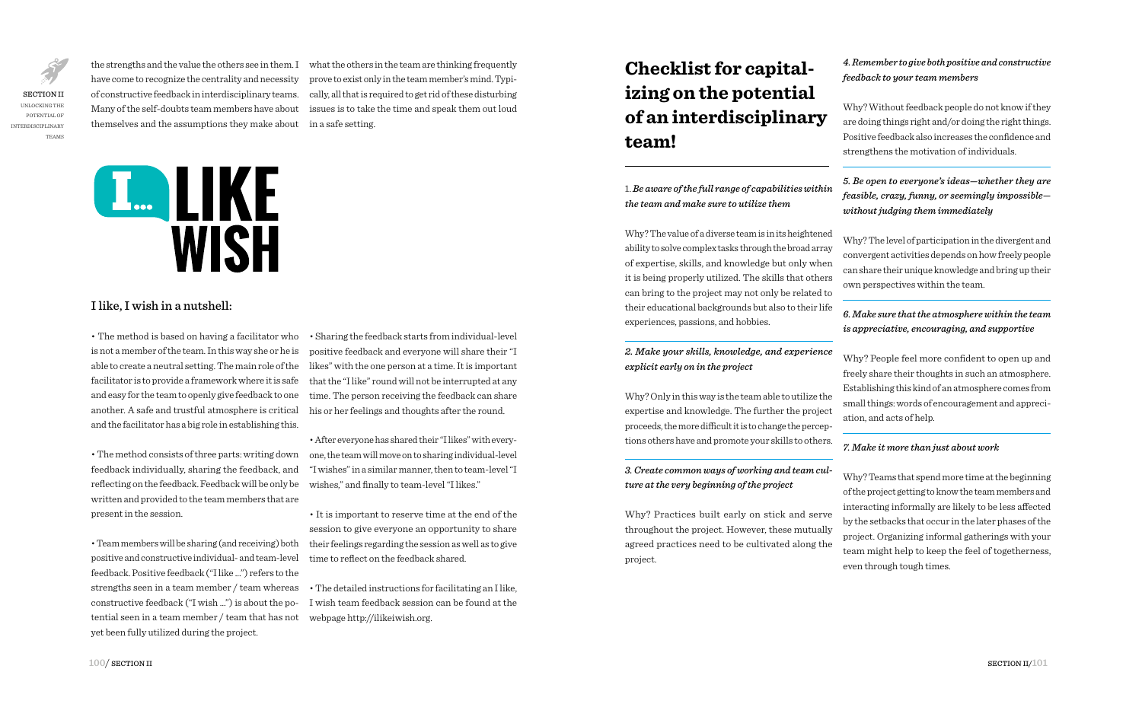SECTION II UNLOCKING THE POTENTIAL OF INTERDISCIPLINARY TEAMS have come to recognize the centrality and necessity of constructive feedback in interdisciplinary teams. Many of the self-doubts team members have about themselves and the assumptions they make about in a safe setting.

the strengths and the value the others see in them. I what the others in the team are thinking frequently prove to exist only in the team member's mind. Typically, all that is required to get rid of these disturbing issues is to take the time and speak them out loud



## I like, I wish in a nutshell:

• The method is based on having a facilitator who is not a member of the team. In this way she or he is able to create a neutral setting. The main role of the facilitator is to provide a framework where it is safe and easy for the team to openly give feedback to one another. A safe and trustful atmosphere is critical and the facilitator has a big role in establishing this.

• The method consists of three parts: writing down feedback individually, sharing the feedback, and reflecting on the feedback. Feedback will be only be written and provided to the team members that are present in the session.

• Team members will be sharing (and receiving) both positive and constructive individual- and team-level feedback. Positive feedback ("I like …") refers to the strengths seen in a team member / team whereas constructive feedback ("I wish …") is about the potential seen in a team member / team that has not yet been fully utilized during the project.

• Sharing the feedback starts from individual-level positive feedback and everyone will share their "I likes" with the one person at a time. It is important that the "I like" round will not be interrupted at any time. The person receiving the feedback can share his or her feelings and thoughts after the round.

• After everyone has shared their "I likes" with everyone, the team will move on to sharing individual-level "I wishes" in a similar manner, then to team-level "I wishes," and finally to team-level "I likes."

• It is important to reserve time at the end of the session to give everyone an opportunity to share their feelings regarding the session as well as to give time to reflect on the feedback shared.

• The detailed instructions for facilitating an I like, I wish team feedback session can be found at the webpage http://ilikeiwish.org.

# **Checklist for capitalizing on the potential of an interdisciplinary team!**

1. *Be aware of the full range of capabilities within the team and make sure to utilize them* 

Why? The value of a diverse team is in its heightened ability to solve complex tasks through the broad array of expertise, skills, and knowledge but only when it is being properly utilized. The skills that others can bring to the project may not only be related to their educational backgrounds but also to their life experiences, passions, and hobbies.

#### *2. Make your skills, knowledge, and experience explicit early on in the project*

Why? Only in this way is the team able to utilize the expertise and knowledge. The further the project proceeds, the more difficult it is to change the perceptions others have and promote your skills to others.

#### *3. Create common ways of working and team culture at the very beginning of the project*

Why? Practices built early on stick and serve throughout the project. However, these mutually agreed practices need to be cultivated along the project.

*4. Remember to give both positive and constructive feedback to your team members*

Why? Without feedback people do not know if they are doing things right and/or doing the right things. Positive feedback also increases the confidence and strengthens the motivation of individuals.

*5. Be open to everyone's ideas—whether they are feasible, crazy, funny, or seemingly impossible without judging them immediately* 

Why? The level of participation in the divergent and convergent activities depends on how freely people can share their unique knowledge and bring up their own perspectives within the team.

#### *6. Make sure that the atmosphere within the team is appreciative, encouraging, and supportive*

Why? People feel more confident to open up and freely share their thoughts in such an atmosphere. Establishing this kind of an atmosphere comes from small things: words of encouragement and appreciation, and acts of help.

#### *7. Make it more than just about work*

Why? Teams that spend more time at the beginning of the project getting to know the team members and interacting informally are likely to be less affected by the setbacks that occur in the later phases of the project. Organizing informal gatherings with your team might help to keep the feel of togetherness, even through tough times.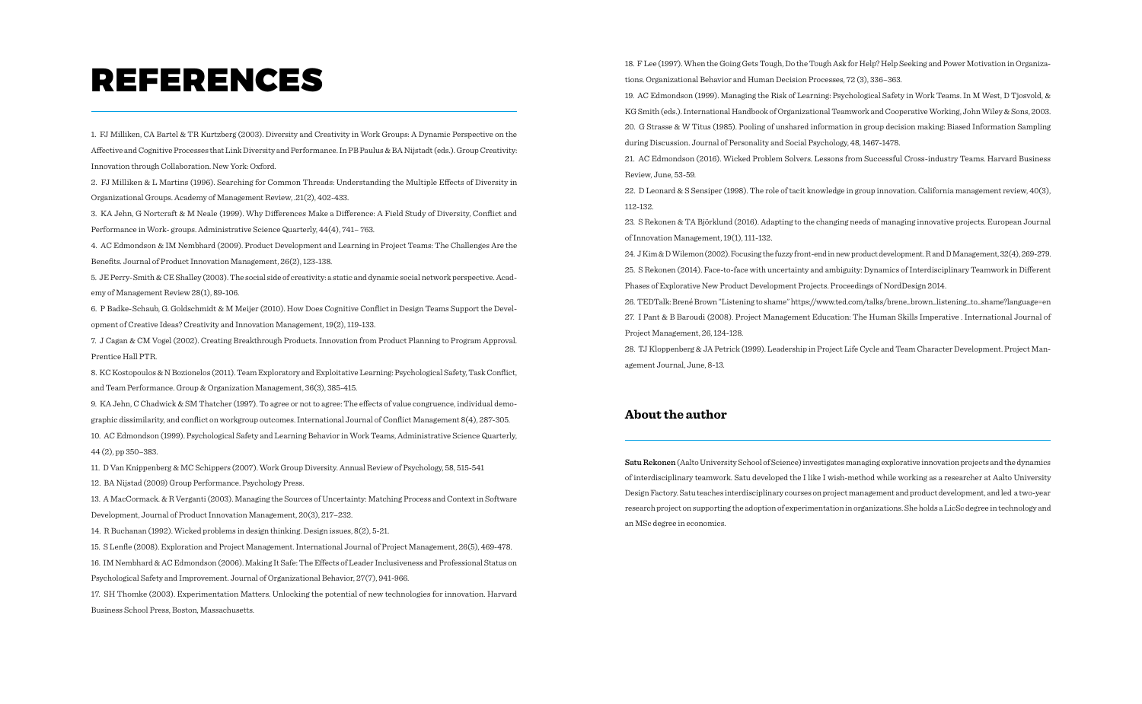# REFERENCES

1. FJ Milliken, CA Bartel & TR Kurtzberg (2003). Diversity and Creativity in Work Groups: A Dynamic Perspective on the Affective and Cognitive Processes that Link Diversity and Performance. In PB Paulus & BA Nijstadt (eds.). Group Creativity: Innovation through Collaboration. New York: Oxford.

2. FJ Milliken & L Martins (1996). Searching for Common Threads: Understanding the Multiple Effects of Diversity in Organizational Groups. Academy of Management Review, .21(2), 402-433.

3. KA Jehn, G Nortcraft & M Neale (1999). Why Differences Make a Difference: A Field Study of Diversity, Conflict and Performance in Work- groups. Administrative Science Quarterly, 44(4), 741– 763.

4. AC Edmondson & IM Nembhard (2009). Product Development and Learning in Project Teams: The Challenges Are the Benefits. Journal of Product Innovation Management, 26(2), 123-138.

5. JE Perry-Smith & CE Shalley (2003). The social side of creativity: a static and dynamic social network perspective. Academy of Management Review 28(1), 89-106.

6. P Badke-Schaub, G. Goldschmidt & M Meijer (2010). How Does Cognitive Conflict in Design Teams Support the Development of Creative Ideas? Creativity and Innovation Management, 19(2), 119-133.

7. J Cagan & CM Vogel (2002). Creating Breakthrough Products. Innovation from Product Planning to Program Approval. Prentice Hall PTR.

8. KC Kostopoulos & N Bozionelos (2011). Team Exploratory and Exploitative Learning: Psychological Safety, Task Conflict, and Team Performance. Group & Organization Management, 36(3), 385-415.

9. KA Jehn, C Chadwick & SM Thatcher (1997). To agree or not to agree: The effects of value congruence, individual demographic dissimilarity, and conflict on workgroup outcomes. International Journal of Conflict Management 8(4), 287-305. 10. AC Edmondson (1999). Psychological Safety and Learning Behavior in Work Teams, Administrative Science Quarterly, 44 (2), pp 350–383.

11. D Van Knippenberg & MC Schippers (2007). Work Group Diversity. Annual Review of Psychology, 58, 515-541

12. BA Nijstad (2009) Group Performance. Psychology Press.

13. A MacCormack. & R Verganti (2003). Managing the Sources of Uncertainty: Matching Process and Context in Software Development, Journal of Product Innovation Management, 20(3), 217–232.

14. R Buchanan (1992). Wicked problems in design thinking. Design issues, 8(2), 5-21.

15. S Lenfle (2008). Exploration and Project Management. International Journal of Project Management, 26(5), 469-478. 16. IM Nembhard & AC Edmondson (2006). Making It Safe: The Effects of Leader Inclusiveness and Professional Status on Psychological Safety and Improvement. Journal of Organizational Behavior, 27(7), 941-966.

17. SH Thomke (2003). Experimentation Matters. Unlocking the potential of new technologies for innovation. Harvard Business School Press, Boston, Massachusetts.

18. F Lee (1997). When the Going Gets Tough, Do the Tough Ask for Help? Help Seeking and Power Motivation in Organizations. Organizational Behavior and Human Decision Processes, 72 (3), 336–363.

19. AC Edmondson (1999). Managing the Risk of Learning: Psychological Safety in Work Teams. In M West, D Tjosvold, & KG Smith (eds.). International Handbook of Organizational Teamwork and Cooperative Working, John Wiley & Sons, 2003. 20. G Strasse & W Titus (1985). Pooling of unshared information in group decision making: Biased Information Sampling during Discussion. Journal of Personality and Social Psychology, 48, 1467-1478.

21. AC Edmondson (2016). Wicked Problem Solvers. Lessons from Successful Cross-industry Teams. Harvard Business Review, June, 53-59.

22. D Leonard & S Sensiper (1998). The role of tacit knowledge in group innovation. California management review, 40(3), 112-132.

23. S Rekonen & TA Björklund (2016). Adapting to the changing needs of managing innovative projects. European Journal of Innovation Management, 19(1), 111-132.

24. J Kim & D Wilemon (2002). Focusing the fuzzy front-end in new product development. R and D Management, 32(4), 269-279. 25. S Rekonen (2014). Face-to-face with uncertainty and ambiguity: Dynamics of Interdisciplinary Teamwork in Different Phases of Explorative New Product Development Projects. Proceedings of NordDesign 2014.

26. TEDTalk: Brené Brown "Listening to shame" https://www.ted.com/talks/brene\_brown\_listening\_to\_shame?language=en 27. I Pant & B Baroudi (2008). Project Management Education: The Human Skills Imperative . International Journal of Project Management, 26, 124-128.

28. TJ Kloppenberg & JA Petrick (1999). Leadership in Project Life Cycle and Team Character Development. Project Management Journal, June, 8-13.

### **About the author**

Satu Rekonen (Aalto University School of Science) investigates managing explorative innovation projects and the dynamics of interdisciplinary teamwork. Satu developed the I like I wish-method while working as a researcher at Aalto University Design Factory. Satu teaches interdisciplinary courses on project management and product development, and led a two-year research project on supporting the adoption of experimentation in organizations. She holds a LicSc degree in technology and an MSc degree in economics.